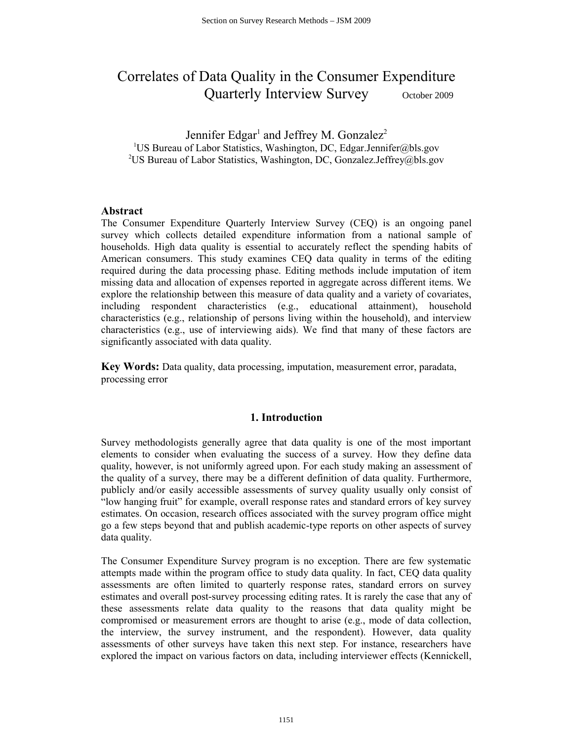# Correlates of Data Quality in the Consumer Expenditure Quarterly Interview Survey October 2009

Jennifer Edgar<sup>1</sup> and Jeffrey M. Gonzalez<sup>2</sup> <sup>1</sup>US Bureau of Labor Statistics, Washington, DC, Edgar.Jennifer@bls.gov <sup>2</sup>US Bureau of Labor Statistics, Washington, DC, Gonzalez.Jeffrey@bls.gov

### **Abstract**

The Consumer Expenditure Quarterly Interview Survey (CEQ) is an ongoing panel survey which collects detailed expenditure information from a national sample of households. High data quality is essential to accurately reflect the spending habits of American consumers. This study examines CEQ data quality in terms of the editing required during the data processing phase. Editing methods include imputation of item missing data and allocation of expenses reported in aggregate across different items. We explore the relationship between this measure of data quality and a variety of covariates, including respondent characteristics (e.g., educational attainment), household characteristics (e.g., relationship of persons living within the household), and interview characteristics (e.g., use of interviewing aids). We find that many of these factors are significantly associated with data quality.

**Key Words:** Data quality, data processing, imputation, measurement error, paradata, processing error

### **1. Introduction**

Survey methodologists generally agree that data quality is one of the most important elements to consider when evaluating the success of a survey. How they define data quality, however, is not uniformly agreed upon. For each study making an assessment of the quality of a survey, there may be a different definition of data quality. Furthermore, publicly and/or easily accessible assessments of survey quality usually only consist of "low hanging fruit" for example, overall response rates and standard errors of key survey estimates. On occasion, research offices associated with the survey program office might go a few steps beyond that and publish academic-type reports on other aspects of survey data quality.

The Consumer Expenditure Survey program is no exception. There are few systematic attempts made within the program office to study data quality. In fact, CEQ data quality assessments are often limited to quarterly response rates, standard errors on survey estimates and overall post-survey processing editing rates. It is rarely the case that any of these assessments relate data quality to the reasons that data quality might be compromised or measurement errors are thought to arise (e.g., mode of data collection, the interview, the survey instrument, and the respondent). However, data quality assessments of other surveys have taken this next step. For instance, researchers have explored the impact on various factors on data, including interviewer effects (Kennickell,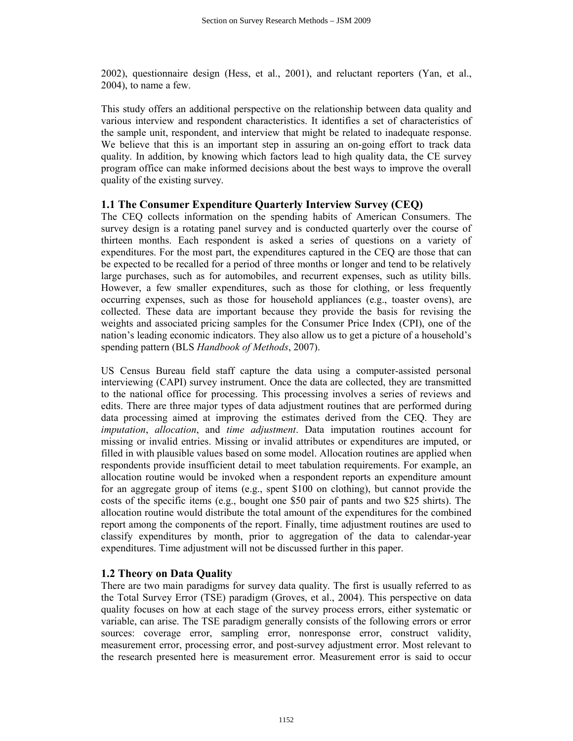2002), questionnaire design (Hess, et al., 2001), and reluctant reporters (Yan, et al., 2004), to name a few.

This study offers an additional perspective on the relationship between data quality and various interview and respondent characteristics. It identifies a set of characteristics of the sample unit, respondent, and interview that might be related to inadequate response. We believe that this is an important step in assuring an on-going effort to track data quality. In addition, by knowing which factors lead to high quality data, the CE survey program office can make informed decisions about the best ways to improve the overall quality of the existing survey.

### **1.1 The Consumer Expenditure Quarterly Interview Survey (CEQ)**

The CEQ collects information on the spending habits of American Consumers. The survey design is a rotating panel survey and is conducted quarterly over the course of thirteen months. Each respondent is asked a series of questions on a variety of expenditures. For the most part, the expenditures captured in the CEQ are those that can be expected to be recalled for a period of three months or longer and tend to be relatively large purchases, such as for automobiles, and recurrent expenses, such as utility bills. However, a few smaller expenditures, such as those for clothing, or less frequently occurring expenses, such as those for household appliances (e.g., toaster ovens), are collected. These data are important because they provide the basis for revising the weights and associated pricing samples for the Consumer Price Index (CPI), one of the nation's leading economic indicators. They also allow us to get a picture of a household's spending pattern (BLS *Handbook of Methods*, 2007).

US Census Bureau field staff capture the data using a computer-assisted personal interviewing (CAPI) survey instrument. Once the data are collected, they are transmitted to the national office for processing. This processing involves a series of reviews and edits. There are three major types of data adjustment routines that are performed during data processing aimed at improving the estimates derived from the CEQ. They are *imputation*, *allocation*, and *time adjustment*. Data imputation routines account for missing or invalid entries. Missing or invalid attributes or expenditures are imputed, or filled in with plausible values based on some model. Allocation routines are applied when respondents provide insufficient detail to meet tabulation requirements. For example, an allocation routine would be invoked when a respondent reports an expenditure amount for an aggregate group of items (e.g., spent \$100 on clothing), but cannot provide the costs of the specific items (e.g., bought one \$50 pair of pants and two \$25 shirts). The allocation routine would distribute the total amount of the expenditures for the combined report among the components of the report. Finally, time adjustment routines are used to classify expenditures by month, prior to aggregation of the data to calendar-year expenditures. Time adjustment will not be discussed further in this paper.

### **1.2 Theory on Data Quality**

There are two main paradigms for survey data quality. The first is usually referred to as the Total Survey Error (TSE) paradigm (Groves, et al., 2004). This perspective on data quality focuses on how at each stage of the survey process errors, either systematic or variable, can arise. The TSE paradigm generally consists of the following errors or error sources: coverage error, sampling error, nonresponse error, construct validity, measurement error, processing error, and post-survey adjustment error. Most relevant to the research presented here is measurement error. Measurement error is said to occur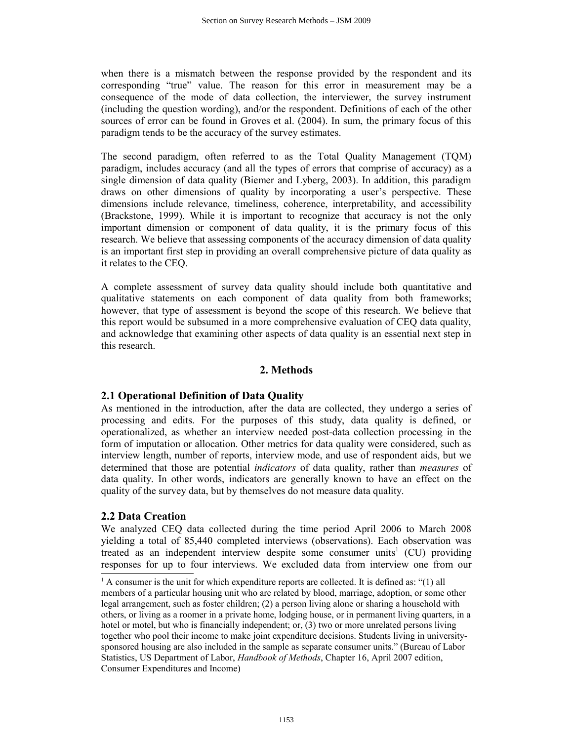when there is a mismatch between the response provided by the respondent and its corresponding "true" value. The reason for this error in measurement may be a consequence of the mode of data collection, the interviewer, the survey instrument (including the question wording), and/or the respondent. Definitions of each of the other sources of error can be found in Groves et al. (2004). In sum, the primary focus of this paradigm tends to be the accuracy of the survey estimates.

The second paradigm, often referred to as the Total Quality Management (TQM) paradigm, includes accuracy (and all the types of errors that comprise of accuracy) as a single dimension of data quality (Biemer and Lyberg, 2003). In addition, this paradigm draws on other dimensions of quality by incorporating a user's perspective. These dimensions include relevance, timeliness, coherence, interpretability, and accessibility (Brackstone, 1999). While it is important to recognize that accuracy is not the only important dimension or component of data quality, it is the primary focus of this research. We believe that assessing components of the accuracy dimension of data quality is an important first step in providing an overall comprehensive picture of data quality as it relates to the CEQ.

A complete assessment of survey data quality should include both quantitative and qualitative statements on each component of data quality from both frameworks; however, that type of assessment is beyond the scope of this research. We believe that this report would be subsumed in a more comprehensive evaluation of CEQ data quality, and acknowledge that examining other aspects of data quality is an essential next step in this research.

## **2. Methods**

## **2.1 Operational Definition of Data Quality**

As mentioned in the introduction, after the data are collected, they undergo a series of processing and edits. For the purposes of this study, data quality is defined, or operationalized, as whether an interview needed post-data collection processing in the form of imputation or allocation. Other metrics for data quality were considered, such as interview length, number of reports, interview mode, and use of respondent aids, but we determined that those are potential *indicators* of data quality, rather than *measures* of data quality. In other words, indicators are generally known to have an effect on the quality of the survey data, but by themselves do not measure data quality.

### **2.2 Data Creation**

We analyzed CEQ data collected during the time period April 2006 to March 2008 yielding a total of 85,440 completed interviews (observations). Each observation was treated as an independent interview despite some consumer units<sup>[1](#page-2-0)</sup> (CU) providing responses for up to four interviews. We excluded data from interview one from our

<span id="page-2-0"></span> $<sup>1</sup>$  A consumer is the unit for which expenditure reports are collected. It is defined as: "(1) all</sup> members of a particular housing unit who are related by blood, marriage, adoption, or some other legal arrangement, such as foster children; (2) a person living alone or sharing a household with others, or living as a roomer in a private home, lodging house, or in permanent living quarters, in a hotel or motel, but who is financially independent; or, (3) two or more unrelated persons living together who pool their income to make joint expenditure decisions. Students living in universitysponsored housing are also included in the sample as separate consumer units." (Bureau of Labor Statistics, US Department of Labor, *Handbook of Methods*, Chapter 16, April 2007 edition, Consumer Expenditures and Income)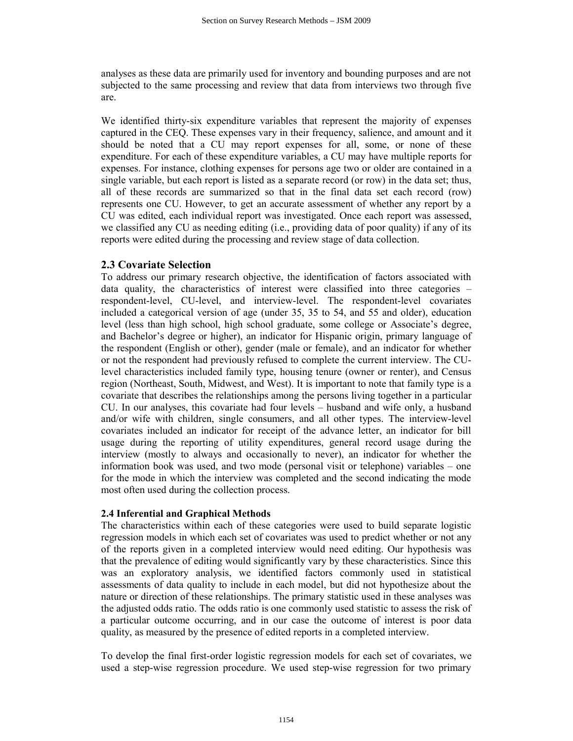analyses as these data are primarily used for inventory and bounding purposes and are not subjected to the same processing and review that data from interviews two through five are.

We identified thirty-six expenditure variables that represent the majority of expenses captured in the CEQ. These expenses vary in their frequency, salience, and amount and it should be noted that a CU may report expenses for all, some, or none of these expenditure. For each of these expenditure variables, a CU may have multiple reports for expenses. For instance, clothing expenses for persons age two or older are contained in a single variable, but each report is listed as a separate record (or row) in the data set; thus, all of these records are summarized so that in the final data set each record (row) represents one CU. However, to get an accurate assessment of whether any report by a CU was edited, each individual report was investigated. Once each report was assessed, we classified any CU as needing editing (i.e., providing data of poor quality) if any of its reports were edited during the processing and review stage of data collection.

### **2.3 Covariate Selection**

To address our primary research objective, the identification of factors associated with data quality, the characteristics of interest were classified into three categories – respondent-level, CU-level, and interview-level. The respondent-level covariates included a categorical version of age (under 35, 35 to 54, and 55 and older), education level (less than high school, high school graduate, some college or Associate's degree, and Bachelor's degree or higher), an indicator for Hispanic origin, primary language of the respondent (English or other), gender (male or female), and an indicator for whether or not the respondent had previously refused to complete the current interview. The CUlevel characteristics included family type, housing tenure (owner or renter), and Census region (Northeast, South, Midwest, and West). It is important to note that family type is a covariate that describes the relationships among the persons living together in a particular CU. In our analyses, this covariate had four levels – husband and wife only, a husband and/or wife with children, single consumers, and all other types. The interview-level covariates included an indicator for receipt of the advance letter, an indicator for bill usage during the reporting of utility expenditures, general record usage during the interview (mostly to always and occasionally to never), an indicator for whether the information book was used, and two mode (personal visit or telephone) variables – one for the mode in which the interview was completed and the second indicating the mode most often used during the collection process.

### **2.4 Inferential and Graphical Methods**

The characteristics within each of these categories were used to build separate logistic regression models in which each set of covariates was used to predict whether or not any of the reports given in a completed interview would need editing. Our hypothesis was that the prevalence of editing would significantly vary by these characteristics. Since this was an exploratory analysis, we identified factors commonly used in statistical assessments of data quality to include in each model, but did not hypothesize about the nature or direction of these relationships. The primary statistic used in these analyses was the adjusted odds ratio. The odds ratio is one commonly used statistic to assess the risk of a particular outcome occurring, and in our case the outcome of interest is poor data quality, as measured by the presence of edited reports in a completed interview.

To develop the final first-order logistic regression models for each set of covariates, we used a step-wise regression procedure. We used step-wise regression for two primary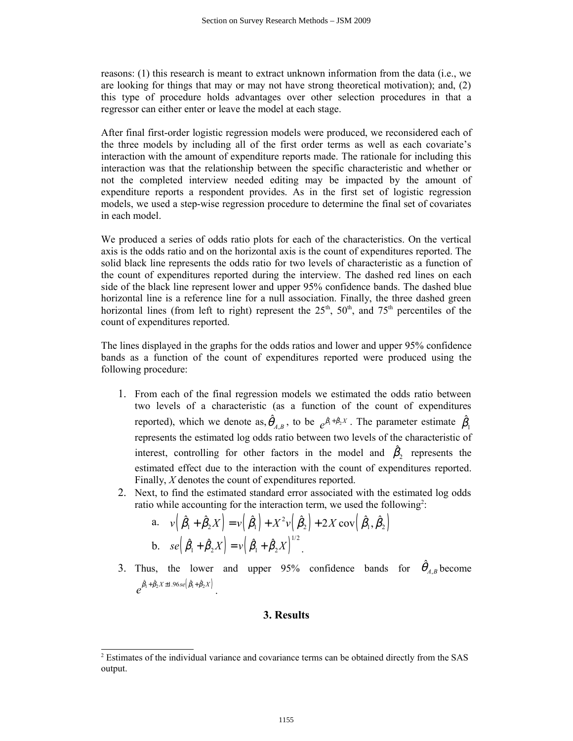reasons: (1) this research is meant to extract unknown information from the data (i.e., we are looking for things that may or may not have strong theoretical motivation); and, (2) this type of procedure holds advantages over other selection procedures in that a regressor can either enter or leave the model at each stage.

After final first-order logistic regression models were produced, we reconsidered each of the three models by including all of the first order terms as well as each covariate's interaction with the amount of expenditure reports made. The rationale for including this interaction was that the relationship between the specific characteristic and whether or not the completed interview needed editing may be impacted by the amount of expenditure reports a respondent provides. As in the first set of logistic regression models, we used a step-wise regression procedure to determine the final set of covariates in each model.

We produced a series of odds ratio plots for each of the characteristics. On the vertical axis is the odds ratio and on the horizontal axis is the count of expenditures reported. The solid black line represents the odds ratio for two levels of characteristic as a function of the count of expenditures reported during the interview. The dashed red lines on each side of the black line represent lower and upper 95% confidence bands. The dashed blue horizontal line is a reference line for a null association. Finally, the three dashed green horizontal lines (from left to right) represent the  $25<sup>th</sup>$ ,  $50<sup>th</sup>$ , and  $75<sup>th</sup>$  percentiles of the count of expenditures reported.

The lines displayed in the graphs for the odds ratios and lower and upper 95% confidence bands as a function of the count of expenditures reported were produced using the following procedure:

- 1. From each of the final regression models we estimated the odds ratio between two levels of a characteristic (as a function of the count of expenditures reported), which we denote as,  $\hat{\theta}_{A,B}$ , to be  $e^{\hat{\beta}_1 + \hat{\beta}_2 X}$ . The parameter estimate  $\hat{\beta}_1$ represents the estimated log odds ratio between two levels of the characteristic of interest, controlling for other factors in the model and  $\hat{\beta}_2$  represents the estimated effect due to the interaction with the count of expenditures reported. Finally, *X* denotes the count of expenditures reported.
- 2. Next, to find the estimated standard error associated with the estimated log odds ratio while accounting for the interaction term, we used the following<sup>[2](#page-4-0)</sup>:

a. 
$$
v(\hat{\beta}_1 + \hat{\beta}_2 X) = v(\hat{\beta}_1) + X^2 v(\hat{\beta}_2) + 2X \text{ cov}(\hat{\beta}_1, \hat{\beta}_2)
$$
  
\nb.  $se(\hat{\beta}_1 + \hat{\beta}_2 X) = v(\hat{\beta}_1 + \hat{\beta}_2 X)^{1/2}$ .

3. Thus, the lower and upper 95% confidence bands for  $\hat{\theta}_{A,B}$  become  $e^{\hat{\beta}_1+\hat{\beta}_2X\pm 1.96se\left(\hat{\beta}_1+\hat{\beta}_2X\right)}$  .

#### **3. Results**

<span id="page-4-0"></span><sup>&</sup>lt;sup>2</sup> Estimates of the individual variance and covariance terms can be obtained directly from the SAS output.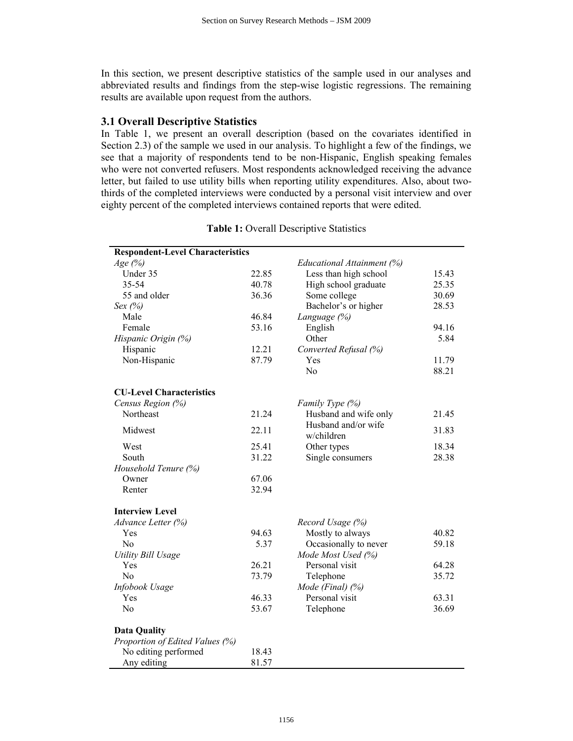In this section, we present descriptive statistics of the sample used in our analyses and abbreviated results and findings from the step-wise logistic regressions. The remaining results are available upon request from the authors.

#### **3.1 Overall Descriptive Statistics**

In Table 1, we present an overall description (based on the covariates identified in Section 2.3) of the sample we used in our analysis. To highlight a few of the findings, we see that a majority of respondents tend to be non-Hispanic, English speaking females who were not converted refusers. Most respondents acknowledged receiving the advance letter, but failed to use utility bills when reporting utility expenditures. Also, about twothirds of the completed interviews were conducted by a personal visit interview and over eighty percent of the completed interviews contained reports that were edited.

| <b>Respondent-Level Characteristics</b> |       |                                   |       |
|-----------------------------------------|-------|-----------------------------------|-------|
| Age $(%)$                               |       | Educational Attainment (%)        |       |
| Under 35                                | 22.85 | Less than high school             | 15.43 |
| 35-54                                   | 40.78 | High school graduate              | 25.35 |
| 55 and older                            | 36.36 | Some college                      | 30.69 |
| Sex $(%$                                |       | Bachelor's or higher              | 28.53 |
| Male                                    | 46.84 | Language (%)                      |       |
| Female                                  | 53.16 | English                           | 94.16 |
| Hispanic Origin (%)                     |       | Other                             | 5.84  |
| Hispanic                                | 12.21 | Converted Refusal (%)             |       |
| Non-Hispanic                            | 87.79 | Yes                               | 11.79 |
|                                         |       | N <sub>o</sub>                    | 88.21 |
| <b>CU-Level Characteristics</b>         |       |                                   |       |
| Census Region (%)                       |       | Family Type (%)                   |       |
| Northeast                               | 21.24 | Husband and wife only             | 21.45 |
| Midwest                                 | 22.11 | Husband and/or wife<br>w/children | 31.83 |
| West                                    | 25.41 | Other types                       | 18.34 |
| South                                   | 31.22 | Single consumers                  | 28.38 |
| Household Tenure (%)                    |       |                                   |       |
| Owner                                   | 67.06 |                                   |       |
| Renter                                  | 32.94 |                                   |       |
| <b>Interview Level</b>                  |       |                                   |       |
| Advance Letter (%)                      |       | Record Usage (%)                  |       |
| Yes                                     | 94.63 | Mostly to always                  | 40.82 |
| No                                      | 5.37  | Occasionally to never             | 59.18 |
| <b>Utility Bill Usage</b>               |       | Mode Most Used (%)                |       |
| Yes                                     | 26.21 | Personal visit                    | 64.28 |
| N <sub>o</sub>                          | 73.79 | Telephone                         | 35.72 |
| Infobook Usage                          |       | Mode (Final) $(%)$                |       |
| Yes                                     | 46.33 | Personal visit                    | 63.31 |
| N <sub>o</sub>                          | 53.67 | Telephone                         | 36.69 |
| <b>Data Quality</b>                     |       |                                   |       |
| Proportion of Edited Values (%)         |       |                                   |       |
| No editing performed                    | 18.43 |                                   |       |
| Any editing                             | 81.57 |                                   |       |

**Table 1:** Overall Descriptive Statistics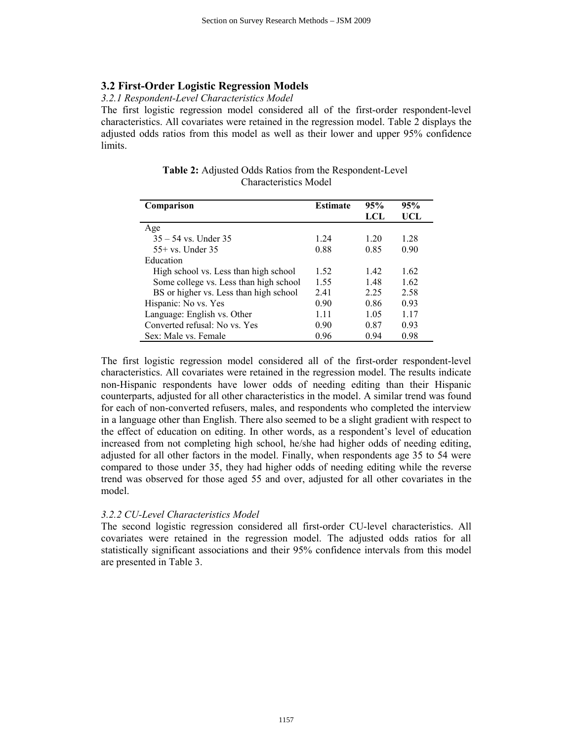### **3.2 First-Order Logistic Regression Models**

### *3.2.1 Respondent-Level Characteristics Model*

The first logistic regression model considered all of the first-order respondent-level characteristics. All covariates were retained in the regression model. Table 2 displays the adjusted odds ratios from this model as well as their lower and upper 95% confidence limits.

| <b>Table 2:</b> Adjusted Odds Ratios from the Respondent-Level |  |
|----------------------------------------------------------------|--|
| <b>Characteristics Model</b>                                   |  |
|                                                                |  |

| Comparison                             | <b>Estimate</b> | 95%  | 95%   |
|----------------------------------------|-----------------|------|-------|
|                                        |                 | LCL  | UCL   |
| Age                                    |                 |      |       |
| $35 - 54$ vs. Under 35                 | 1 24            | 1 20 | 1.28  |
| $55+$ vs. Under 35                     | 0.88            | 0.85 | 0.90  |
| Education                              |                 |      |       |
| High school vs. Less than high school  | 1.52            | 142  | 1.62  |
| Some college vs. Less than high school | 1.55            | 1.48 | 1.62  |
| BS or higher vs. Less than high school | 2.41            | 2.25 | 2.58  |
| Hispanic: No vs. Yes                   | 0.90            | 0.86 | 0.93  |
| Language: English vs. Other            | 1 1 1           | 1.05 | 1 1 7 |
| Converted refusal: No vs. Yes          | 0.90            | 0.87 | 0.93  |
| Sex: Male vs. Female                   | 0.96            | 0.94 | 0.98  |

The first logistic regression model considered all of the first-order respondent-level characteristics. All covariates were retained in the regression model. The results indicate non-Hispanic respondents have lower odds of needing editing than their Hispanic counterparts, adjusted for all other characteristics in the model. A similar trend was found for each of non-converted refusers, males, and respondents who completed the interview in a language other than English. There also seemed to be a slight gradient with respect to the effect of education on editing. In other words, as a respondent's level of education increased from not completing high school, he/she had higher odds of needing editing, adjusted for all other factors in the model. Finally, when respondents age 35 to 54 were compared to those under 35, they had higher odds of needing editing while the reverse trend was observed for those aged 55 and over, adjusted for all other covariates in the model.

#### *3.2.2 CU-Level Characteristics Model*

The second logistic regression considered all first-order CU-level characteristics. All covariates were retained in the regression model. The adjusted odds ratios for all statistically significant associations and their 95% confidence intervals from this model are presented in Table 3.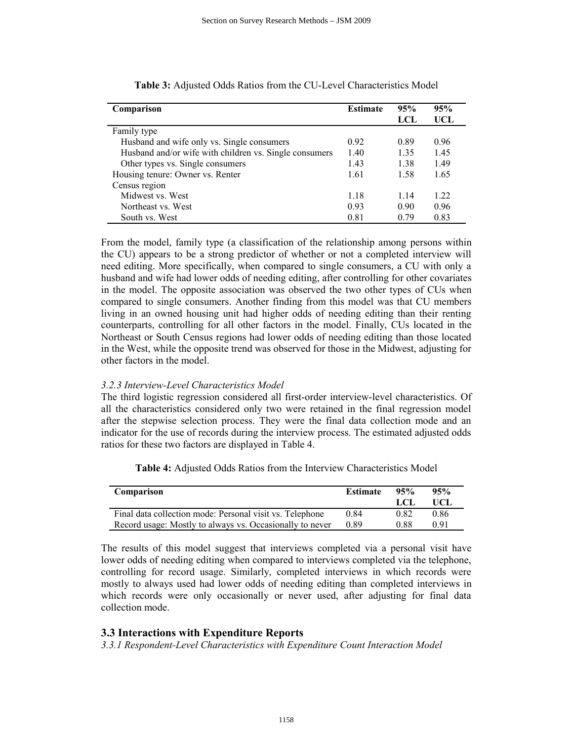| Comparison                                             | <b>Estimate</b> | 95%  | 95%  |
|--------------------------------------------------------|-----------------|------|------|
|                                                        |                 | LCL  | UCL  |
| Family type                                            |                 |      |      |
| Husband and wife only vs. Single consumers             | 0.92            | 0.89 | 0.96 |
| Husband and/or wife with children vs. Single consumers | 1.40            | 1.35 | 1.45 |
| Other types vs. Single consumers                       | 1.43            | 1.38 | 1.49 |
| Housing tenure: Owner vs. Renter                       | 1.61            | 1.58 | 1.65 |
| Census region                                          |                 |      |      |
| Midwest vs. West                                       | 1.18            | 1 14 | 1.22 |
| Northeast vs. West                                     | 0.93            | 0.90 | 0.96 |
| South vs. West                                         | 0.81            | 0.79 | 0.83 |

**Table 3:** Adjusted Odds Ratios from the CU-Level Characteristics Model

From the model, family type (a classification of the relationship among persons within the CU) appears to be a strong predictor of whether or not a completed interview will need editing. More specifically, when compared to single consumers, a CU with only a husband and wife had lower odds of needing editing, after controlling for other covariates in the model. The opposite association was observed the two other types of CUs when compared to single consumers. Another finding from this model was that CU members living in an owned housing unit had higher odds of needing editing than their renting counterparts, controlling for all other factors in the model. Finally, CUs located in the Northeast or South Census regions had lower odds of needing editing than those located in the West, while the opposite trend was observed for those in the Midwest, adjusting for other factors in the model.

#### *3.2.3 Interview-Level Characteristics Model*

The third logistic regression considered all first-order interview-level characteristics. Of all the characteristics considered only two were retained in the final regression model after the stepwise selection process. They were the final data collection mode and an indicator for the use of records during the interview process. The estimated adjusted odds ratios for these two factors are displayed in Table 4.

**Table 4:** Adjusted Odds Ratios from the Interview Characteristics Model

| Comparison                                               | <b>Estimate</b> | 95%<br>LCL. | 95%<br>UCL |
|----------------------------------------------------------|-----------------|-------------|------------|
| Final data collection mode: Personal visit vs. Telephone | 0.84            | 0.82        | 0.86       |
| Record usage: Mostly to always vs. Occasionally to never | 0.89            | 0.88        | 0.91       |

The results of this model suggest that interviews completed via a personal visit have lower odds of needing editing when compared to interviews completed via the telephone, controlling for record usage. Similarly, completed interviews in which records were mostly to always used had lower odds of needing editing than completed interviews in which records were only occasionally or never used, after adjusting for final data collection mode.

### **3.3 Interactions with Expenditure Reports**

*3.3.1 Respondent-Level Characteristics with Expenditure Count Interaction Model*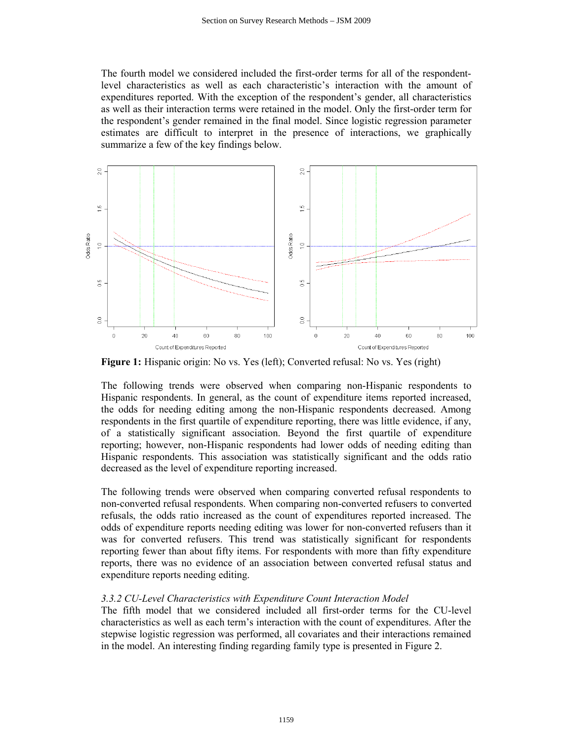The fourth model we considered included the first-order terms for all of the respondentlevel characteristics as well as each characteristic's interaction with the amount of expenditures reported. With the exception of the respondent's gender, all characteristics as well as their interaction terms were retained in the model. Only the first-order term for the respondent's gender remained in the final model. Since logistic regression parameter estimates are difficult to interpret in the presence of interactions, we graphically summarize a few of the key findings below.



**Figure 1:** Hispanic origin: No vs. Yes (left); Converted refusal: No vs. Yes (right)

The following trends were observed when comparing non-Hispanic respondents to Hispanic respondents. In general, as the count of expenditure items reported increased, the odds for needing editing among the non-Hispanic respondents decreased. Among respondents in the first quartile of expenditure reporting, there was little evidence, if any, of a statistically significant association. Beyond the first quartile of expenditure reporting; however, non-Hispanic respondents had lower odds of needing editing than Hispanic respondents. This association was statistically significant and the odds ratio decreased as the level of expenditure reporting increased.

The following trends were observed when comparing converted refusal respondents to non-converted refusal respondents. When comparing non-converted refusers to converted refusals, the odds ratio increased as the count of expenditures reported increased. The odds of expenditure reports needing editing was lower for non-converted refusers than it was for converted refusers. This trend was statistically significant for respondents reporting fewer than about fifty items. For respondents with more than fifty expenditure reports, there was no evidence of an association between converted refusal status and expenditure reports needing editing.

### *3.3.2 CU-Level Characteristics with Expenditure Count Interaction Model*

The fifth model that we considered included all first-order terms for the CU-level characteristics as well as each term's interaction with the count of expenditures. After the stepwise logistic regression was performed, all covariates and their interactions remained in the model. An interesting finding regarding family type is presented in Figure 2.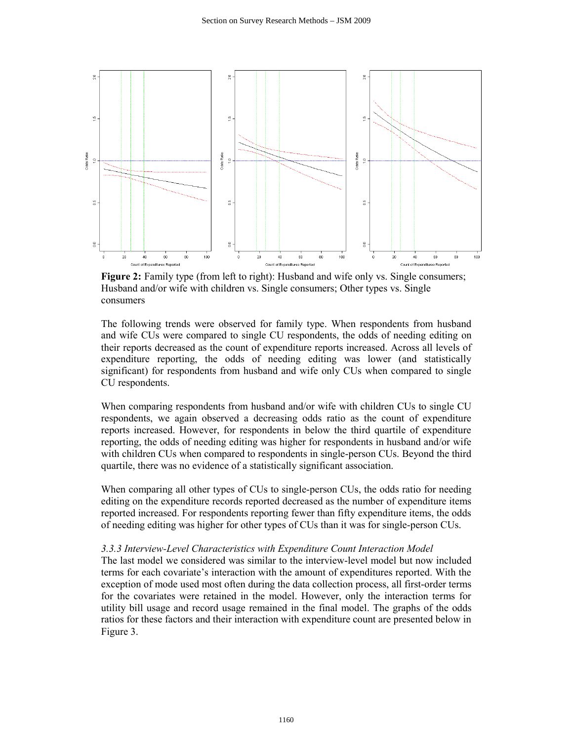

**Figure 2:** Family type (from left to right): Husband and wife only vs. Single consumers; Husband and/or wife with children vs. Single consumers; Other types vs. Single consumers

The following trends were observed for family type. When respondents from husband and wife CUs were compared to single CU respondents, the odds of needing editing on their reports decreased as the count of expenditure reports increased. Across all levels of expenditure reporting, the odds of needing editing was lower (and statistically significant) for respondents from husband and wife only CUs when compared to single CU respondents.

When comparing respondents from husband and/or wife with children CUs to single CU respondents, we again observed a decreasing odds ratio as the count of expenditure reports increased. However, for respondents in below the third quartile of expenditure reporting, the odds of needing editing was higher for respondents in husband and/or wife with children CUs when compared to respondents in single-person CUs. Beyond the third quartile, there was no evidence of a statistically significant association.

When comparing all other types of CUs to single-person CUs, the odds ratio for needing editing on the expenditure records reported decreased as the number of expenditure items reported increased. For respondents reporting fewer than fifty expenditure items, the odds of needing editing was higher for other types of CUs than it was for single-person CUs.

#### *3.3.3 Interview-Level Characteristics with Expenditure Count Interaction Model*

The last model we considered was similar to the interview-level model but now included terms for each covariate's interaction with the amount of expenditures reported. With the exception of mode used most often during the data collection process, all first-order terms for the covariates were retained in the model. However, only the interaction terms for utility bill usage and record usage remained in the final model. The graphs of the odds ratios for these factors and their interaction with expenditure count are presented below in Figure 3.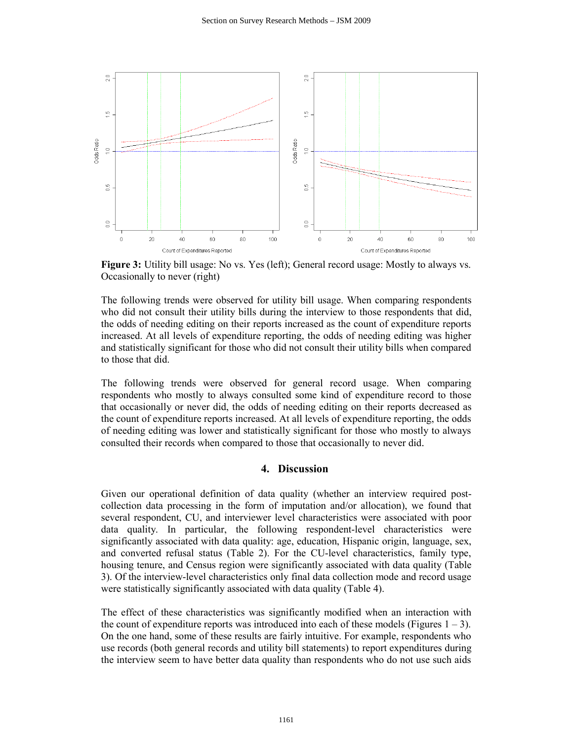

**Figure 3:** Utility bill usage: No vs. Yes (left); General record usage: Mostly to always vs. Occasionally to never (right)

The following trends were observed for utility bill usage. When comparing respondents who did not consult their utility bills during the interview to those respondents that did, the odds of needing editing on their reports increased as the count of expenditure reports increased. At all levels of expenditure reporting, the odds of needing editing was higher and statistically significant for those who did not consult their utility bills when compared to those that did.

The following trends were observed for general record usage. When comparing respondents who mostly to always consulted some kind of expenditure record to those that occasionally or never did, the odds of needing editing on their reports decreased as the count of expenditure reports increased. At all levels of expenditure reporting, the odds of needing editing was lower and statistically significant for those who mostly to always consulted their records when compared to those that occasionally to never did.

## **4. Discussion**

Given our operational definition of data quality (whether an interview required postcollection data processing in the form of imputation and/or allocation), we found that several respondent, CU, and interviewer level characteristics were associated with poor data quality. In particular, the following respondent-level characteristics were significantly associated with data quality: age, education, Hispanic origin, language, sex, and converted refusal status (Table 2). For the CU-level characteristics, family type, housing tenure, and Census region were significantly associated with data quality (Table 3). Of the interview-level characteristics only final data collection mode and record usage were statistically significantly associated with data quality (Table 4).

The effect of these characteristics was significantly modified when an interaction with the count of expenditure reports was introduced into each of these models (Figures  $1 - 3$ ). On the one hand, some of these results are fairly intuitive. For example, respondents who use records (both general records and utility bill statements) to report expenditures during the interview seem to have better data quality than respondents who do not use such aids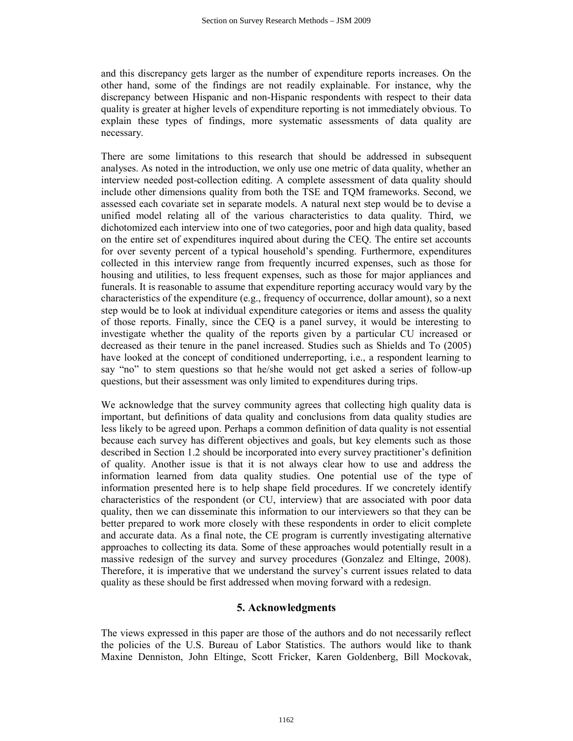and this discrepancy gets larger as the number of expenditure reports increases. On the other hand, some of the findings are not readily explainable. For instance, why the discrepancy between Hispanic and non-Hispanic respondents with respect to their data quality is greater at higher levels of expenditure reporting is not immediately obvious. To explain these types of findings, more systematic assessments of data quality are necessary.

There are some limitations to this research that should be addressed in subsequent analyses. As noted in the introduction, we only use one metric of data quality, whether an interview needed post-collection editing. A complete assessment of data quality should include other dimensions quality from both the TSE and TQM frameworks. Second, we assessed each covariate set in separate models. A natural next step would be to devise a unified model relating all of the various characteristics to data quality. Third, we dichotomized each interview into one of two categories, poor and high data quality, based on the entire set of expenditures inquired about during the CEQ. The entire set accounts for over seventy percent of a typical household's spending. Furthermore, expenditures collected in this interview range from frequently incurred expenses, such as those for housing and utilities, to less frequent expenses, such as those for major appliances and funerals. It is reasonable to assume that expenditure reporting accuracy would vary by the characteristics of the expenditure (e.g., frequency of occurrence, dollar amount), so a next step would be to look at individual expenditure categories or items and assess the quality of those reports. Finally, since the CEQ is a panel survey, it would be interesting to investigate whether the quality of the reports given by a particular CU increased or decreased as their tenure in the panel increased. Studies such as Shields and To (2005) have looked at the concept of conditioned underreporting, i.e., a respondent learning to say "no" to stem questions so that he/she would not get asked a series of follow-up questions, but their assessment was only limited to expenditures during trips.

We acknowledge that the survey community agrees that collecting high quality data is important, but definitions of data quality and conclusions from data quality studies are less likely to be agreed upon. Perhaps a common definition of data quality is not essential because each survey has different objectives and goals, but key elements such as those described in Section 1.2 should be incorporated into every survey practitioner's definition of quality. Another issue is that it is not always clear how to use and address the information learned from data quality studies. One potential use of the type of information presented here is to help shape field procedures. If we concretely identify characteristics of the respondent (or CU, interview) that are associated with poor data quality, then we can disseminate this information to our interviewers so that they can be better prepared to work more closely with these respondents in order to elicit complete and accurate data. As a final note, the CE program is currently investigating alternative approaches to collecting its data. Some of these approaches would potentially result in a massive redesign of the survey and survey procedures (Gonzalez and Eltinge, 2008). Therefore, it is imperative that we understand the survey's current issues related to data quality as these should be first addressed when moving forward with a redesign.

## **5. Acknowledgments**

The views expressed in this paper are those of the authors and do not necessarily reflect the policies of the U.S. Bureau of Labor Statistics. The authors would like to thank Maxine Denniston, John Eltinge, Scott Fricker, Karen Goldenberg, Bill Mockovak,